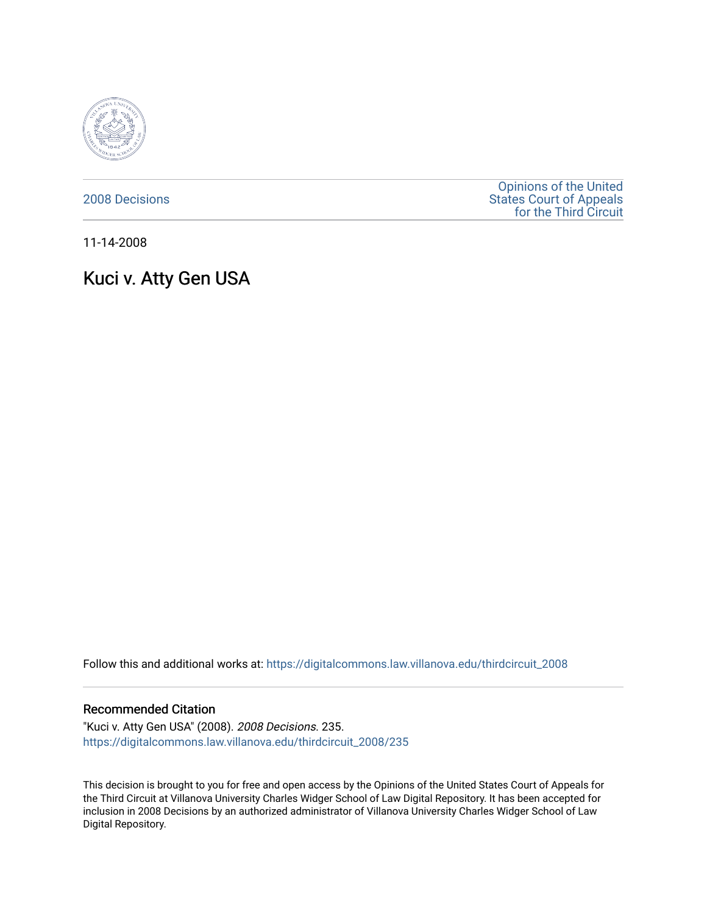

[2008 Decisions](https://digitalcommons.law.villanova.edu/thirdcircuit_2008)

[Opinions of the United](https://digitalcommons.law.villanova.edu/thirdcircuit)  [States Court of Appeals](https://digitalcommons.law.villanova.edu/thirdcircuit)  [for the Third Circuit](https://digitalcommons.law.villanova.edu/thirdcircuit) 

11-14-2008

# Kuci v. Atty Gen USA

Follow this and additional works at: [https://digitalcommons.law.villanova.edu/thirdcircuit\\_2008](https://digitalcommons.law.villanova.edu/thirdcircuit_2008?utm_source=digitalcommons.law.villanova.edu%2Fthirdcircuit_2008%2F235&utm_medium=PDF&utm_campaign=PDFCoverPages) 

#### Recommended Citation

"Kuci v. Atty Gen USA" (2008). 2008 Decisions. 235. [https://digitalcommons.law.villanova.edu/thirdcircuit\\_2008/235](https://digitalcommons.law.villanova.edu/thirdcircuit_2008/235?utm_source=digitalcommons.law.villanova.edu%2Fthirdcircuit_2008%2F235&utm_medium=PDF&utm_campaign=PDFCoverPages)

This decision is brought to you for free and open access by the Opinions of the United States Court of Appeals for the Third Circuit at Villanova University Charles Widger School of Law Digital Repository. It has been accepted for inclusion in 2008 Decisions by an authorized administrator of Villanova University Charles Widger School of Law Digital Repository.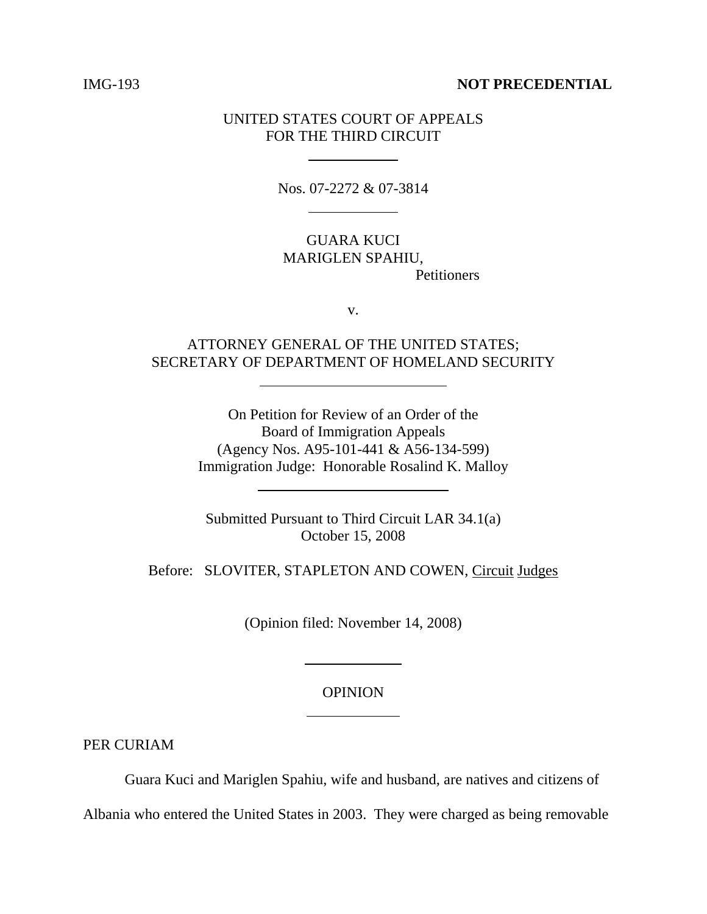### IMG-193 **NOT PRECEDENTIAL**

## UNITED STATES COURT OF APPEALS FOR THE THIRD CIRCUIT

 $\overline{a}$ 

l

 $\overline{a}$ 

 $\overline{\phantom{a}}$ 

Nos. 07-2272 & 07-3814

GUARA KUCI MARIGLEN SPAHIU, **Petitioners** 

v.

# ATTORNEY GENERAL OF THE UNITED STATES; SECRETARY OF DEPARTMENT OF HOMELAND SECURITY

On Petition for Review of an Order of the Board of Immigration Appeals (Agency Nos. A95-101-441 & A56-134-599) Immigration Judge: Honorable Rosalind K. Malloy

Submitted Pursuant to Third Circuit LAR 34.1(a) October 15, 2008

Before: SLOVITER, STAPLETON AND COWEN, Circuit Judges

(Opinion filed: November 14, 2008)

 $\overline{a}$ 

 $\overline{a}$ 

#### OPINION

PER CURIAM

Guara Kuci and Mariglen Spahiu, wife and husband, are natives and citizens of Albania who entered the United States in 2003. They were charged as being removable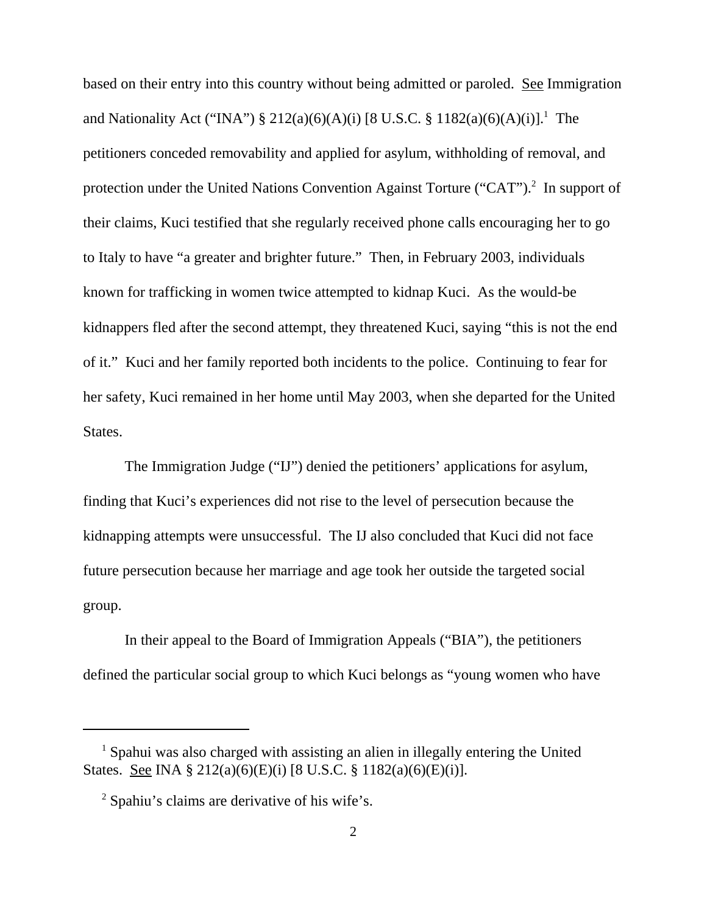based on their entry into this country without being admitted or paroled. See Immigration and Nationality Act ("INA")  $\S 212(a)(6)(A)(i)$  [8 U.S.C.  $\S 1182(a)(6)(A)(i)$ ].<sup>1</sup> The petitioners conceded removability and applied for asylum, withholding of removal, and protection under the United Nations Convention Against Torture ("CAT").<sup>2</sup> In support of their claims, Kuci testified that she regularly received phone calls encouraging her to go to Italy to have "a greater and brighter future." Then, in February 2003, individuals known for trafficking in women twice attempted to kidnap Kuci. As the would-be kidnappers fled after the second attempt, they threatened Kuci, saying "this is not the end of it." Kuci and her family reported both incidents to the police. Continuing to fear for her safety, Kuci remained in her home until May 2003, when she departed for the United States.

The Immigration Judge ("IJ") denied the petitioners' applications for asylum, finding that Kuci's experiences did not rise to the level of persecution because the kidnapping attempts were unsuccessful. The IJ also concluded that Kuci did not face future persecution because her marriage and age took her outside the targeted social group.

In their appeal to the Board of Immigration Appeals ("BIA"), the petitioners defined the particular social group to which Kuci belongs as "young women who have

<sup>&</sup>lt;sup>1</sup> Spahui was also charged with assisting an alien in illegally entering the United States. See INA § 212(a)(6)(E)(i) [8 U.S.C. § 1182(a)(6)(E)(i)].

<sup>&</sup>lt;sup>2</sup> Spahiu's claims are derivative of his wife's.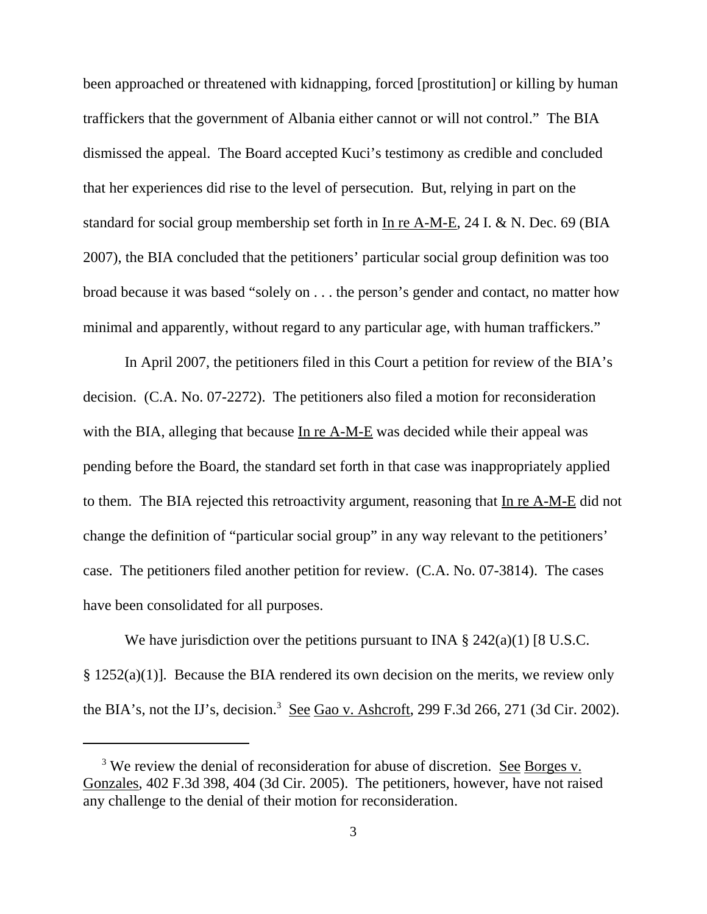been approached or threatened with kidnapping, forced [prostitution] or killing by human traffickers that the government of Albania either cannot or will not control." The BIA dismissed the appeal. The Board accepted Kuci's testimony as credible and concluded that her experiences did rise to the level of persecution. But, relying in part on the standard for social group membership set forth in In re A-M-E, 24 I. & N. Dec. 69 (BIA 2007), the BIA concluded that the petitioners' particular social group definition was too broad because it was based "solely on . . . the person's gender and contact, no matter how minimal and apparently, without regard to any particular age, with human traffickers."

In April 2007, the petitioners filed in this Court a petition for review of the BIA's decision. (C.A. No. 07-2272). The petitioners also filed a motion for reconsideration with the BIA, alleging that because In re A-M-E was decided while their appeal was pending before the Board, the standard set forth in that case was inappropriately applied to them. The BIA rejected this retroactivity argument, reasoning that In re A-M-E did not change the definition of "particular social group" in any way relevant to the petitioners' case. The petitioners filed another petition for review. (C.A. No. 07-3814). The cases have been consolidated for all purposes.

We have jurisdiction over the petitions pursuant to INA  $\S 242(a)(1)$  [8 U.S.C. § 1252(a)(1)]. Because the BIA rendered its own decision on the merits, we review only the BIA's, not the IJ's, decision.<sup>3</sup> See Gao v. Ashcroft, 299 F.3d 266, 271 (3d Cir. 2002).

<sup>&</sup>lt;sup>3</sup> We review the denial of reconsideration for abuse of discretion. <u>See Borges v.</u> Gonzales, 402 F.3d 398, 404 (3d Cir. 2005). The petitioners, however, have not raised any challenge to the denial of their motion for reconsideration.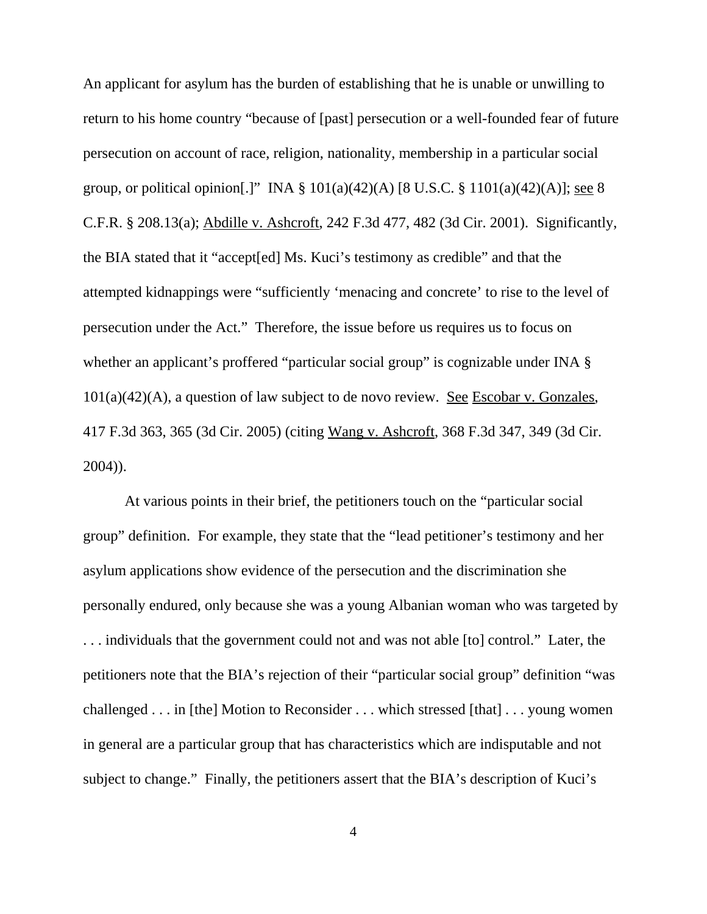An applicant for asylum has the burden of establishing that he is unable or unwilling to return to his home country "because of [past] persecution or a well-founded fear of future persecution on account of race, religion, nationality, membership in a particular social group, or political opinion[.]" INA  $\S 101(a)(42)(A)$  [8 U.S.C.  $\S 1101(a)(42)(A)$ ]; see 8 C.F.R. § 208.13(a); Abdille v. Ashcroft, 242 F.3d 477, 482 (3d Cir. 2001). Significantly, the BIA stated that it "accept[ed] Ms. Kuci's testimony as credible" and that the attempted kidnappings were "sufficiently 'menacing and concrete' to rise to the level of persecution under the Act." Therefore, the issue before us requires us to focus on whether an applicant's proffered "particular social group" is cognizable under INA  $\S$  $101(a)(42)(A)$ , a question of law subject to de novo review. See Escobar v. Gonzales, 417 F.3d 363, 365 (3d Cir. 2005) (citing Wang v. Ashcroft, 368 F.3d 347, 349 (3d Cir. 2004)).

At various points in their brief, the petitioners touch on the "particular social group" definition. For example, they state that the "lead petitioner's testimony and her asylum applications show evidence of the persecution and the discrimination she personally endured, only because she was a young Albanian woman who was targeted by . . . individuals that the government could not and was not able [to] control." Later, the petitioners note that the BIA's rejection of their "particular social group" definition "was challenged . . . in [the] Motion to Reconsider . . . which stressed [that] . . . young women in general are a particular group that has characteristics which are indisputable and not subject to change." Finally, the petitioners assert that the BIA's description of Kuci's